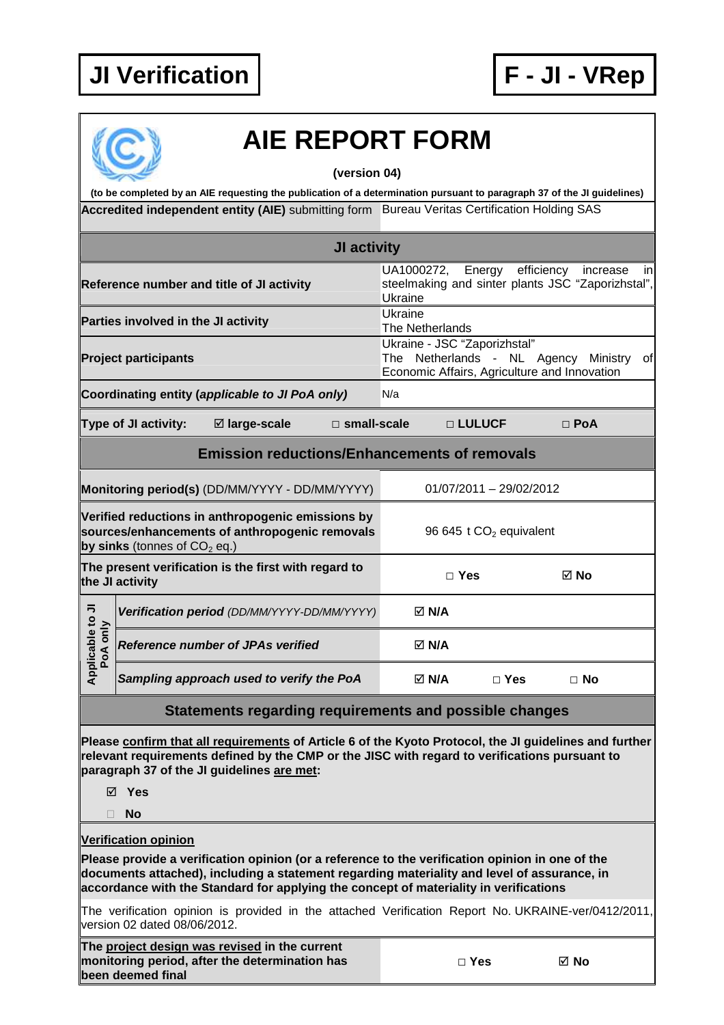## **JI Verification F - JI - VRep**





## **AIE REPORT FORM**

**(version 04)** 

Accredited independent entity (AIE) submitting form Bureau Veritas Certification Holding SAS **(to be completed by an AIE requesting the publication of a determination pursuant to paragraph 37 of the JI guidelines)** 

|                                                                                                                                       |                             |                                                                                                                                                                                                                                                       | JI activity                                                                                                                 |     |              |            |            |  |
|---------------------------------------------------------------------------------------------------------------------------------------|-----------------------------|-------------------------------------------------------------------------------------------------------------------------------------------------------------------------------------------------------------------------------------------------------|-----------------------------------------------------------------------------------------------------------------------------|-----|--------------|------------|------------|--|
| Reference number and title of JI activity                                                                                             |                             | Energy<br>efficiency<br>UA1000272,<br>increase<br>in<br>steelmaking and sinter plants JSC "Zaporizhstal",<br>Ukraine                                                                                                                                  |                                                                                                                             |     |              |            |            |  |
| Parties involved in the JI activity                                                                                                   |                             |                                                                                                                                                                                                                                                       | Ukraine<br>The Netherlands                                                                                                  |     |              |            |            |  |
| <b>Project participants</b>                                                                                                           |                             |                                                                                                                                                                                                                                                       | Ukraine - JSC "Zaporizhstal"<br>The Netherlands - NL Agency Ministry<br>ofl<br>Economic Affairs, Agriculture and Innovation |     |              |            |            |  |
|                                                                                                                                       |                             | Coordinating entity (applicable to JI PoA only)                                                                                                                                                                                                       |                                                                                                                             | N/a |              |            |            |  |
|                                                                                                                                       | Type of JI activity:        | ⊠ large-scale                                                                                                                                                                                                                                         | □ small-scale                                                                                                               |     |              | □ LULUCF   | $\Box$ PoA |  |
|                                                                                                                                       |                             | <b>Emission reductions/Enhancements of removals</b>                                                                                                                                                                                                   |                                                                                                                             |     |              |            |            |  |
| Monitoring period(s) (DD/MM/YYYY - DD/MM/YYYY)                                                                                        |                             |                                                                                                                                                                                                                                                       | $01/07/2011 - 29/02/2012$                                                                                                   |     |              |            |            |  |
| Verified reductions in anthropogenic emissions by<br>sources/enhancements of anthropogenic removals<br>by sinks (tonnes of $CO2$ eq.) |                             |                                                                                                                                                                                                                                                       | 96 645 t CO <sub>2</sub> equivalent                                                                                         |     |              |            |            |  |
| The present verification is the first with regard to<br>the JI activity                                                               |                             |                                                                                                                                                                                                                                                       | $\Box$ Yes                                                                                                                  |     | ⊠ No         |            |            |  |
|                                                                                                                                       |                             | Verification period (DD/MM/YYYY-DD/MM/YYYY)                                                                                                                                                                                                           |                                                                                                                             |     | ⊠ N/A        |            |            |  |
| Applicable to JI<br>PoA only                                                                                                          |                             | <b>Reference number of JPAs verified</b>                                                                                                                                                                                                              |                                                                                                                             |     | <b>⊠ N/A</b> |            |            |  |
|                                                                                                                                       |                             | Sampling approach used to verify the PoA                                                                                                                                                                                                              |                                                                                                                             |     | ⊠ N/A        | $\Box$ Yes | $\Box$ No  |  |
|                                                                                                                                       |                             | Statements regarding requirements and possible changes                                                                                                                                                                                                |                                                                                                                             |     |              |            |            |  |
|                                                                                                                                       | ⊠ Yes                       | Please confirm that all requirements of Article 6 of the Kyoto Protocol, the JI guidelines and further<br>relevant requirements defined by the CMP or the JISC with regard to verifications pursuant to<br>paragraph 37 of the JI guidelines are met: |                                                                                                                             |     |              |            |            |  |
|                                                                                                                                       | No                          |                                                                                                                                                                                                                                                       |                                                                                                                             |     |              |            |            |  |
|                                                                                                                                       | <b>Verification opinion</b> |                                                                                                                                                                                                                                                       |                                                                                                                             |     |              |            |            |  |

**Please provide a verification opinion (or a reference to the verification opinion in one of the documents attached), including a statement regarding materiality and level of assurance, in accordance with the Standard for applying the concept of materiality in verifications** 

The verification opinion is provided in the attached Verification Report No. UKRAINE-ver/0412/2011, version 02 dated 08/06/2012.

**The project design was revised in the current monitoring period, after the determination has been deemed final** 

| ×<br>۰.<br>v<br>w |
|-------------------|
|-------------------|